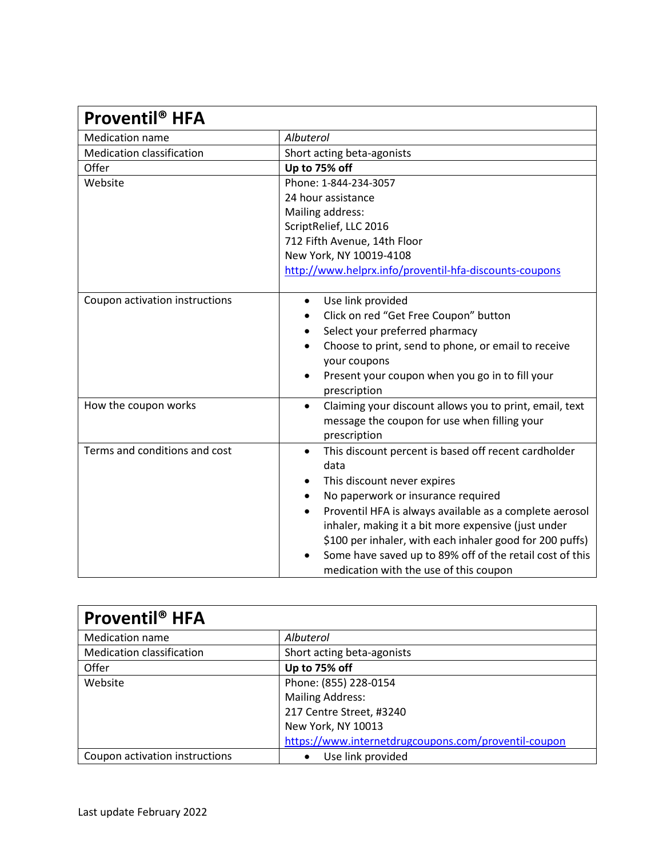| Proventil <sup>®</sup> HFA     |                                                                                                                                                                                                                                                                                                                                                                                                                                                              |  |
|--------------------------------|--------------------------------------------------------------------------------------------------------------------------------------------------------------------------------------------------------------------------------------------------------------------------------------------------------------------------------------------------------------------------------------------------------------------------------------------------------------|--|
| <b>Medication name</b>         | Albuterol                                                                                                                                                                                                                                                                                                                                                                                                                                                    |  |
| Medication classification      | Short acting beta-agonists                                                                                                                                                                                                                                                                                                                                                                                                                                   |  |
| Offer                          | Up to 75% off                                                                                                                                                                                                                                                                                                                                                                                                                                                |  |
| Website                        | Phone: 1-844-234-3057                                                                                                                                                                                                                                                                                                                                                                                                                                        |  |
|                                | 24 hour assistance                                                                                                                                                                                                                                                                                                                                                                                                                                           |  |
|                                | Mailing address:                                                                                                                                                                                                                                                                                                                                                                                                                                             |  |
|                                | ScriptRelief, LLC 2016                                                                                                                                                                                                                                                                                                                                                                                                                                       |  |
|                                | 712 Fifth Avenue, 14th Floor                                                                                                                                                                                                                                                                                                                                                                                                                                 |  |
|                                | New York, NY 10019-4108                                                                                                                                                                                                                                                                                                                                                                                                                                      |  |
|                                | http://www.helprx.info/proventil-hfa-discounts-coupons                                                                                                                                                                                                                                                                                                                                                                                                       |  |
| Coupon activation instructions | Use link provided<br>$\bullet$<br>Click on red "Get Free Coupon" button<br>Select your preferred pharmacy<br>$\bullet$<br>Choose to print, send to phone, or email to receive<br>your coupons                                                                                                                                                                                                                                                                |  |
|                                | Present your coupon when you go in to fill your<br>prescription                                                                                                                                                                                                                                                                                                                                                                                              |  |
| How the coupon works           | Claiming your discount allows you to print, email, text<br>$\bullet$<br>message the coupon for use when filling your<br>prescription                                                                                                                                                                                                                                                                                                                         |  |
| Terms and conditions and cost  | This discount percent is based off recent cardholder<br>$\bullet$<br>data<br>This discount never expires<br>No paperwork or insurance required<br>$\bullet$<br>Proventil HFA is always available as a complete aerosol<br>$\bullet$<br>inhaler, making it a bit more expensive (just under<br>\$100 per inhaler, with each inhaler good for 200 puffs)<br>Some have saved up to 89% off of the retail cost of this<br>medication with the use of this coupon |  |

| <b>Proventil<sup>®</sup> HFA</b> |                                                      |
|----------------------------------|------------------------------------------------------|
| <b>Medication name</b>           | Albuterol                                            |
| <b>Medication classification</b> | Short acting beta-agonists                           |
| Offer                            | Up to 75% off                                        |
| Website                          | Phone: (855) 228-0154                                |
|                                  | <b>Mailing Address:</b>                              |
|                                  | 217 Centre Street, #3240                             |
|                                  | New York, NY 10013                                   |
|                                  | https://www.internetdrugcoupons.com/proventil-coupon |
| Coupon activation instructions   | Use link provided                                    |